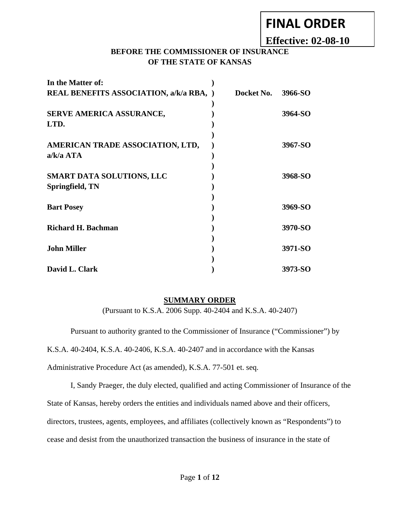# **FINAL ORDER**

**Effective: 02-08-10**

### **BEFORE THE COMMISSIONER OF INSURANCE OF THE STATE OF KANSAS**

| In the Matter of:                              |            |         |
|------------------------------------------------|------------|---------|
| <b>REAL BENEFITS ASSOCIATION, a/k/a RBA, )</b> | Docket No. | 3966-SO |
|                                                |            |         |
| SERVE AMERICA ASSURANCE,                       |            | 3964-SO |
| LTD.                                           |            |         |
|                                                |            |         |
| AMERICAN TRADE ASSOCIATION, LTD,               |            | 3967-SO |
| $a/k/a$ ATA                                    |            |         |
|                                                |            |         |
| <b>SMART DATA SOLUTIONS, LLC</b>               |            | 3968-SO |
| Springfield, TN                                |            |         |
|                                                |            |         |
| <b>Bart Posey</b>                              |            | 3969-SO |
|                                                |            |         |
| <b>Richard H. Bachman</b>                      |            | 3970-SO |
|                                                |            |         |
|                                                |            |         |
| <b>John Miller</b>                             |            | 3971-SO |
|                                                |            |         |
| David L. Clark                                 |            | 3973-SO |

#### **SUMMARY ORDER**

(Pursuant to K.S.A. 2006 Supp. 40-2404 and K.S.A. 40-2407)

 Pursuant to authority granted to the Commissioner of Insurance ("Commissioner") by K.S.A. 40-2404, K.S.A. 40-2406, K.S.A. 40-2407 and in accordance with the Kansas Administrative Procedure Act (as amended), K.S.A. 77-501 et. seq.

 I, Sandy Praeger, the duly elected, qualified and acting Commissioner of Insurance of the State of Kansas, hereby orders the entities and individuals named above and their officers, directors, trustees, agents, employees, and affiliates (collectively known as "Respondents") to cease and desist from the unauthorized transaction the business of insurance in the state of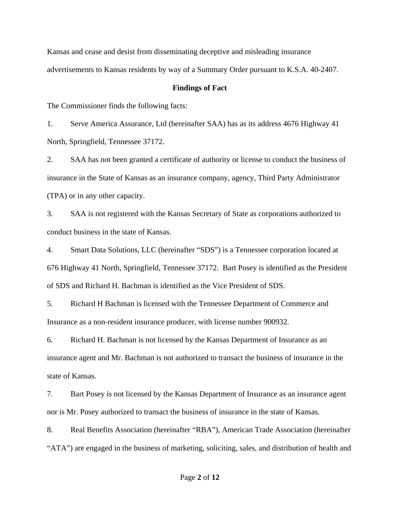Kansas and cease and desist from disseminating deceptive and misleading insurance advertisements to Kansas residents by way of a Summary Order pursuant to K.S.A. 40-2407.

#### **Findings of Fact**

The Commissioner finds the following facts:

1. Serve America Assurance, Ltd (hereinafter SAA) has as its address 4676 Highway 41 North, Springfield, Tennessee 37172.

2. SAA has not been granted a certificate of authority or license to conduct the business of insurance in the State of Kansas as an insurance company, agency, Third Party Administrator (TPA) or in any other capacity.

3. SAA is not registered with the Kansas Secretary of State as corporations authorized to conduct business in the state of Kansas.

4. Smart Data Solutions, LLC (hereinafter "SDS") is a Tennessee corporation located at 676 Highway 41 North, Springfield, Tennessee 37172. Bart Posey is identified as the President of SDS and Richard H. Bachman is identified as the Vice President of SDS.

5. Richard H Bachman is licensed with the Tennessee Department of Commerce and Insurance as a non-resident insurance producer, with license number 900932.

6. Richard H. Bachman is not licensed by the Kansas Department of Insurance as an insurance agent and Mr. Bachman is not authorized to transact the business of insurance in the state of Kansas.

7. Bart Posey is not licensed by the Kansas Department of Insurance as an insurance agent nor is Mr. Posey authorized to transact the business of insurance in the state of Kansas.

8. Real Benefits Association (hereinafter "RBA"), American Trade Association (hereinafter "ATA") are engaged in the business of marketing, soliciting, sales, and distribution of health and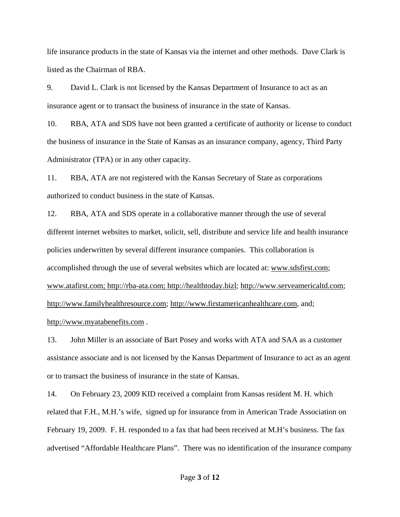life insurance products in the state of Kansas via the internet and other methods. Dave Clark is listed as the Chairman of RBA.

9. David L. Clark is not licensed by the Kansas Department of Insurance to act as an insurance agent or to transact the business of insurance in the state of Kansas.

10. RBA, ATA and SDS have not been granted a certificate of authority or license to conduct the business of insurance in the State of Kansas as an insurance company, agency, Third Party Administrator (TPA) or in any other capacity.

11. RBA, ATA are not registered with the Kansas Secretary of State as corporations authorized to conduct business in the state of Kansas.

12. RBA, ATA and SDS operate in a collaborative manner through the use of several different internet websites to market, solicit, sell, distribute and service life and health insurance policies underwritten by several different insurance companies. This collaboration is accomplished through the use of several websites which are located at: www.sdsfirst.com; www.atafirst.com; http://rba-ata.com; http://healthtoday.bizl; http://www.serveamericaltd.com; http://www.familyhealthresource.com; http://www.firstamericanhealthcare.com, and; http://www.myatabenefits.com .

13. John Miller is an associate of Bart Posey and works with ATA and SAA as a customer assistance associate and is not licensed by the Kansas Department of Insurance to act as an agent or to transact the business of insurance in the state of Kansas.

14. On February 23, 2009 KID received a complaint from Kansas resident M. H. which related that F.H., M.H.'s wife, signed up for insurance from in American Trade Association on February 19, 2009. F. H. responded to a fax that had been received at M.H's business. The fax advertised "Affordable Healthcare Plans". There was no identification of the insurance company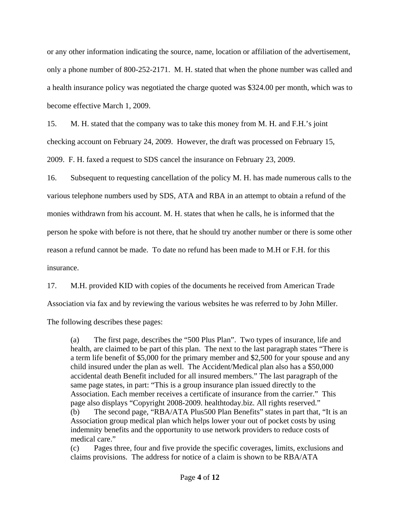or any other information indicating the source, name, location or affiliation of the advertisement, only a phone number of 800-252-2171. M. H. stated that when the phone number was called and a health insurance policy was negotiated the charge quoted was \$324.00 per month, which was to become effective March 1, 2009.

15. M. H. stated that the company was to take this money from M. H. and F.H.'s joint checking account on February 24, 2009. However, the draft was processed on February 15, 2009. F. H. faxed a request to SDS cancel the insurance on February 23, 2009.

16. Subsequent to requesting cancellation of the policy M. H. has made numerous calls to the various telephone numbers used by SDS, ATA and RBA in an attempt to obtain a refund of the monies withdrawn from his account. M. H. states that when he calls, he is informed that the person he spoke with before is not there, that he should try another number or there is some other reason a refund cannot be made. To date no refund has been made to M.H or F.H. for this insurance.

17. M.H. provided KID with copies of the documents he received from American Trade Association via fax and by reviewing the various websites he was referred to by John Miller.

The following describes these pages:

(a) The first page, describes the "500 Plus Plan". Two types of insurance, life and health, are claimed to be part of this plan. The next to the last paragraph states "There is a term life benefit of \$5,000 for the primary member and \$2,500 for your spouse and any child insured under the plan as well. The Accident/Medical plan also has a \$50,000 accidental death Benefit included for all insured members." The last paragraph of the same page states, in part: "This is a group insurance plan issued directly to the Association. Each member receives a certificate of insurance from the carrier." This page also displays "Copyright 2008-2009. healthtoday.biz. All rights reserved." (b) The second page, "RBA/ATA Plus500 Plan Benefits" states in part that, "It is an Association group medical plan which helps lower your out of pocket costs by using indemnity benefits and the opportunity to use network providers to reduce costs of medical care."

(c) Pages three, four and five provide the specific coverages, limits, exclusions and claims provisions. The address for notice of a claim is shown to be RBA/ATA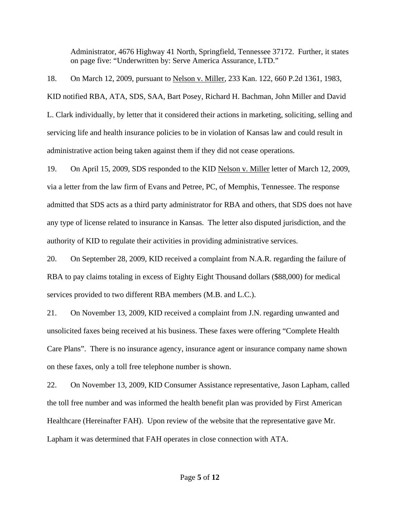Administrator, 4676 Highway 41 North, Springfield, Tennessee 37172. Further, it states on page five: "Underwritten by: Serve America Assurance, LTD."

18. On March 12, 2009, pursuant to Nelson v. Miller, 233 Kan. 122, 660 P.2d 1361, 1983, KID notified RBA, ATA, SDS, SAA, Bart Posey, Richard H. Bachman, John Miller and David L. Clark individually, by letter that it considered their actions in marketing, soliciting, selling and servicing life and health insurance policies to be in violation of Kansas law and could result in administrative action being taken against them if they did not cease operations.

19. On April 15, 2009, SDS responded to the KID Nelson v. Miller letter of March 12, 2009, via a letter from the law firm of Evans and Petree, PC, of Memphis, Tennessee. The response admitted that SDS acts as a third party administrator for RBA and others, that SDS does not have any type of license related to insurance in Kansas. The letter also disputed jurisdiction, and the authority of KID to regulate their activities in providing administrative services.

20. On September 28, 2009, KID received a complaint from N.A.R. regarding the failure of RBA to pay claims totaling in excess of Eighty Eight Thousand dollars (\$88,000) for medical services provided to two different RBA members (M.B. and L.C.).

21. On November 13, 2009, KID received a complaint from J.N. regarding unwanted and unsolicited faxes being received at his business. These faxes were offering "Complete Health Care Plans". There is no insurance agency, insurance agent or insurance company name shown on these faxes, only a toll free telephone number is shown.

22. On November 13, 2009, KID Consumer Assistance representative, Jason Lapham, called the toll free number and was informed the health benefit plan was provided by First American Healthcare (Hereinafter FAH). Upon review of the website that the representative gave Mr. Lapham it was determined that FAH operates in close connection with ATA.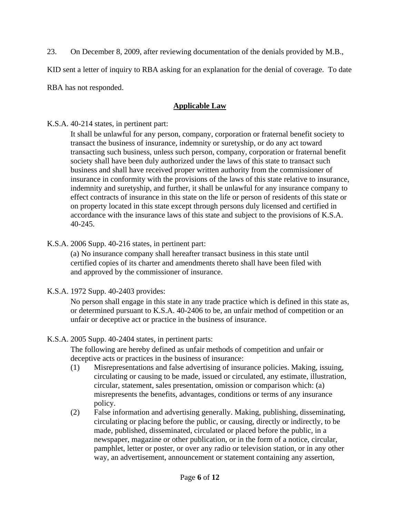23. On December 8, 2009, after reviewing documentation of the denials provided by M.B.,

KID sent a letter of inquiry to RBA asking for an explanation for the denial of coverage. To date

RBA has not responded.

# **Applicable Law**

K.S.A. 40-214 states, in pertinent part:

It shall be unlawful for any person, company, corporation or fraternal benefit society to transact the business of insurance, indemnity or suretyship, or do any act toward transacting such business, unless such person, company, corporation or fraternal benefit society shall have been duly authorized under the laws of this state to transact such business and shall have received proper written authority from the commissioner of insurance in conformity with the provisions of the laws of this state relative to insurance, indemnity and suretyship, and further, it shall be unlawful for any insurance company to effect contracts of insurance in this state on the life or person of residents of this state or on property located in this state except through persons duly licensed and certified in accordance with the insurance laws of this state and subject to the provisions of K.S.A. 40-245.

K.S.A. 2006 Supp. 40-216 states, in pertinent part:

 (a) No insurance company shall hereafter transact business in this state until certified copies of its charter and amendments thereto shall have been filed with and approved by the commissioner of insurance.

K.S.A. 1972 Supp. 40-2403 provides:

No person shall engage in this state in any trade practice which is defined in this state as, or determined pursuant to K.S.A. 40-2406 to be, an unfair method of competition or an unfair or deceptive act or practice in the business of insurance.

# K.S.A. 2005 Supp. 40-2404 states, in pertinent parts:

The following are hereby defined as unfair methods of competition and unfair or deceptive acts or practices in the business of insurance:

- (1) Misrepresentations and false advertising of insurance policies. Making, issuing, circulating or causing to be made, issued or circulated, any estimate, illustration, circular, statement, sales presentation, omission or comparison which: (a) misrepresents the benefits, advantages, conditions or terms of any insurance policy.
- (2) False information and advertising generally. Making, publishing, disseminating, circulating or placing before the public, or causing, directly or indirectly, to be made, published, disseminated, circulated or placed before the public, in a newspaper, magazine or other publication, or in the form of a notice, circular, pamphlet, letter or poster, or over any radio or television station, or in any other way, an advertisement, announcement or statement containing any assertion,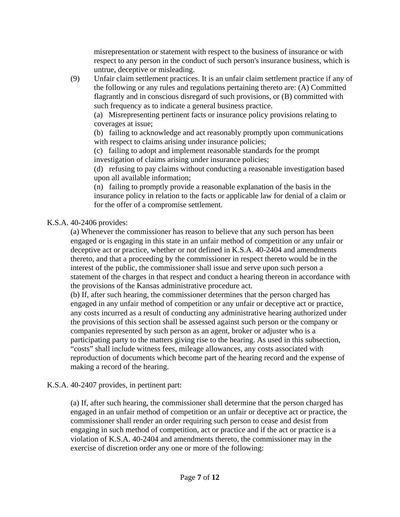misrepresentation or statement with respect to the business of insurance or with respect to any person in the conduct of such person's insurance business, which is untrue, deceptive or misleading.

(9) Unfair claim settlement practices. It is an unfair claim settlement practice if any of the following or any rules and regulations pertaining thereto are: (A) Committed flagrantly and in conscious disregard of such provisions, or (B) committed with such frequency as to indicate a general business practice.

 (a) Misrepresenting pertinent facts or insurance policy provisions relating to coverages at issue;

(b) failing to acknowledge and act reasonably promptly upon communications with respect to claims arising under insurance policies;

(c) failing to adopt and implement reasonable standards for the prompt investigation of claims arising under insurance policies;

(d) refusing to pay claims without conducting a reasonable investigation based upon all available information;

(n) failing to promptly provide a reasonable explanation of the basis in the insurance policy in relation to the facts or applicable law for denial of a claim or for the offer of a compromise settlement.

### K.S.A. 40-2406 provides:

(a) Whenever the commissioner has reason to believe that any such person has been engaged or is engaging in this state in an unfair method of competition or any unfair or deceptive act or practice, whether or not defined in K.S.A. 40-2404 and amendments thereto, and that a proceeding by the commissioner in respect thereto would be in the interest of the public, the commissioner shall issue and serve upon such person a statement of the charges in that respect and conduct a hearing thereon in accordance with the provisions of the Kansas administrative procedure act.

(b) If, after such hearing, the commissioner determines that the person charged has engaged in any unfair method of competition or any unfair or deceptive act or practice, any costs incurred as a result of conducting any administrative hearing authorized under the provisions of this section shall be assessed against such person or the company or companies represented by such person as an agent, broker or adjuster who is a participating party to the matters giving rise to the hearing. As used in this subsection, "costs" shall include witness fees, mileage allowances, any costs associated with reproduction of documents which become part of the hearing record and the expense of making a record of the hearing.

#### K.S.A. 40-2407 provides, in pertinent part:

(a) If, after such hearing, the commissioner shall determine that the person charged has engaged in an unfair method of competition or an unfair or deceptive act or practice, the commissioner shall render an order requiring such person to cease and desist from engaging in such method of competition, act or practice and if the act or practice is a violation of K.S.A. 40-2404 and amendments thereto, the commissioner may in the exercise of discretion order any one or more of the following: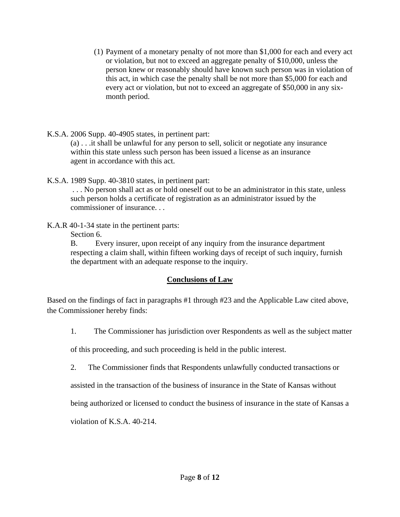- (1) Payment of a monetary penalty of not more than \$1,000 for each and every act or violation, but not to exceed an aggregate penalty of \$10,000, unless the person knew or reasonably should have known such person was in violation of this act, in which case the penalty shall be not more than \$5,000 for each and every act or violation, but not to exceed an aggregate of \$50,000 in any sixmonth period.
- K.S.A. 2006 Supp. 40-4905 states, in pertinent part: (a) . . .it shall be unlawful for any person to sell, solicit or negotiate any insurance within this state unless such person has been issued a license as an insurance agent in accordance with this act.
- K.S.A. 1989 Supp. 40-3810 states, in pertinent part:

 . . . No person shall act as or hold oneself out to be an administrator in this state, unless such person holds a certificate of registration as an administrator issued by the commissioner of insurance. . .

- K.A.R 40-1-34 state in the pertinent parts:
	- Section 6.

B. Every insurer, upon receipt of any inquiry from the insurance department respecting a claim shall, within fifteen working days of receipt of such inquiry, furnish the department with an adequate response to the inquiry.

### **Conclusions of Law**

Based on the findings of fact in paragraphs #1 through #23 and the Applicable Law cited above, the Commissioner hereby finds:

1. The Commissioner has jurisdiction over Respondents as well as the subject matter

of this proceeding, and such proceeding is held in the public interest.

2. The Commissioner finds that Respondents unlawfully conducted transactions or

assisted in the transaction of the business of insurance in the State of Kansas without

being authorized or licensed to conduct the business of insurance in the state of Kansas a

violation of K.S.A. 40-214.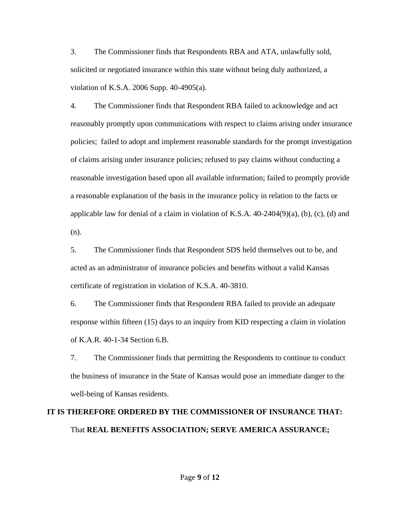3. The Commissioner finds that Respondents RBA and ATA, unlawfully sold, solicited or negotiated insurance within this state without being duly authorized, a violation of K.S.A. 2006 Supp. 40-4905(a).

4. The Commissioner finds that Respondent RBA failed to acknowledge and act reasonably promptly upon communications with respect to claims arising under insurance policies; failed to adopt and implement reasonable standards for the prompt investigation of claims arising under insurance policies; refused to pay claims without conducting a reasonable investigation based upon all available information; failed to promptly provide a reasonable explanation of the basis in the insurance policy in relation to the facts or applicable law for denial of a claim in violation of K.S.A.  $40-2404(9)(a)$ , (b), (c), (d) and (n).

5. The Commissioner finds that Respondent SDS held themselves out to be, and acted as an administrator of insurance policies and benefits without a valid Kansas certificate of registration in violation of K.S.A. 40-3810.

6. The Commissioner finds that Respondent RBA failed to provide an adequate response within fifteen (15) days to an inquiry from KID respecting a claim in violation of K.A.R. 40-1-34 Section 6.B.

7. The Commissioner finds that permitting the Respondents to continue to conduct the business of insurance in the State of Kansas would pose an immediate danger to the well-being of Kansas residents.

# **IT IS THEREFORE ORDERED BY THE COMMISSIONER OF INSURANCE THAT:**  That **REAL BENEFITS ASSOCIATION; SERVE AMERICA ASSURANCE;**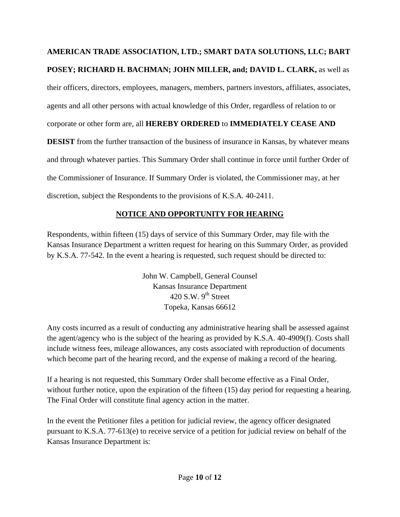# **AMERICAN TRADE ASSOCIATION, LTD.; SMART DATA SOLUTIONS, LLC; BART**

# **POSEY; RICHARD H. BACHMAN; JOHN MILLER, and; DAVID L. CLARK,** as well as

their officers, directors, employees, managers, members, partners investors, affiliates, associates,

agents and all other persons with actual knowledge of this Order, regardless of relation to or

corporate or other form are, all **HEREBY ORDERED** to **IMMEDIATELY CEASE AND** 

**DESIST** from the further transaction of the business of insurance in Kansas, by whatever means and through whatever parties. This Summary Order shall continue in force until further Order of the Commissioner of Insurance. If Summary Order is violated, the Commissioner may, at her discretion, subject the Respondents to the provisions of K.S.A. 40-2411.

## **NOTICE AND OPPORTUNITY FOR HEARING**

Respondents, within fifteen (15) days of service of this Summary Order, may file with the Kansas Insurance Department a written request for hearing on this Summary Order, as provided by K.S.A. 77-542. In the event a hearing is requested, such request should be directed to:

> John W. Campbell, General Counsel Kansas Insurance Department 420 S.W.  $9<sup>th</sup>$  Street Topeka, Kansas 66612

Any costs incurred as a result of conducting any administrative hearing shall be assessed against the agent/agency who is the subject of the hearing as provided by K.S.A. 40-4909(f). Costs shall include witness fees, mileage allowances, any costs associated with reproduction of documents which become part of the hearing record, and the expense of making a record of the hearing.

If a hearing is not requested, this Summary Order shall become effective as a Final Order, without further notice, upon the expiration of the fifteen (15) day period for requesting a hearing. The Final Order will constitute final agency action in the matter.

In the event the Petitioner files a petition for judicial review, the agency officer designated pursuant to K.S.A. 77-613(e) to receive service of a petition for judicial review on behalf of the Kansas Insurance Department is: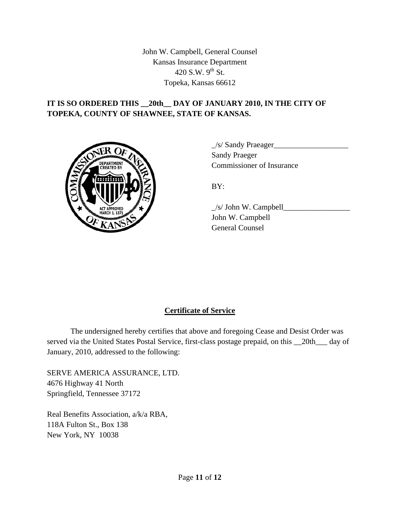John W. Campbell, General Counsel Kansas Insurance Department 420 S.W.  $9^{th}$  St. Topeka, Kansas 66612

### **IT IS SO ORDERED THIS \_\_20th\_\_ DAY OF JANUARY 2010, IN THE CITY OF TOPEKA, COUNTY OF SHAWNEE, STATE OF KANSAS.**



 $\angle$ s/ Sandy Praeager $\angle$  Sandy Praeger Commissioner of Insurance

 $\angle$ s/ John W. Campbell $\angle$  John W. Campbell General Counsel

### **Certificate of Service**

 The undersigned hereby certifies that above and foregoing Cease and Desist Order was served via the United States Postal Service, first-class postage prepaid, on this \_\_20th\_\_\_ day of January, 2010, addressed to the following:

SERVE AMERICA ASSURANCE, LTD. 4676 Highway 41 North Springfield, Tennessee 37172

Real Benefits Association, a/k/a RBA, 118A Fulton St., Box 138 New York, NY 10038